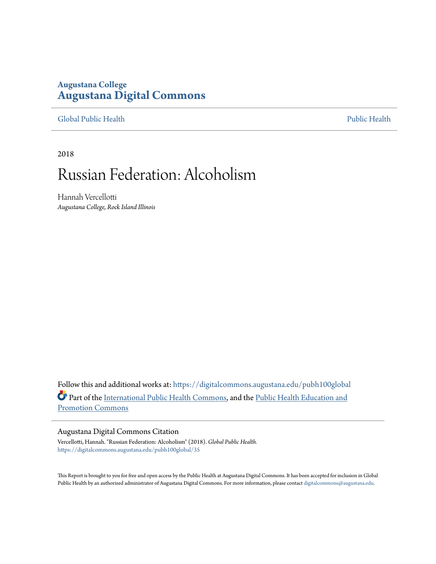## **Augustana College [Augustana Digital Commons](https://digitalcommons.augustana.edu?utm_source=digitalcommons.augustana.edu%2Fpubh100global%2F35&utm_medium=PDF&utm_campaign=PDFCoverPages)**

[Global Public Health](https://digitalcommons.augustana.edu/pubh100global?utm_source=digitalcommons.augustana.edu%2Fpubh100global%2F35&utm_medium=PDF&utm_campaign=PDFCoverPages) [Public Health](https://digitalcommons.augustana.edu/publichealth?utm_source=digitalcommons.augustana.edu%2Fpubh100global%2F35&utm_medium=PDF&utm_campaign=PDFCoverPages)

2018

# Russian Federation: Alcoholism

Hannah Vercellotti *Augustana College, Rock Island Illinois*

Follow this and additional works at: [https://digitalcommons.augustana.edu/pubh100global](https://digitalcommons.augustana.edu/pubh100global?utm_source=digitalcommons.augustana.edu%2Fpubh100global%2F35&utm_medium=PDF&utm_campaign=PDFCoverPages) Part of the [International Public Health Commons](http://network.bepress.com/hgg/discipline/746?utm_source=digitalcommons.augustana.edu%2Fpubh100global%2F35&utm_medium=PDF&utm_campaign=PDFCoverPages), and the [Public Health Education and](http://network.bepress.com/hgg/discipline/743?utm_source=digitalcommons.augustana.edu%2Fpubh100global%2F35&utm_medium=PDF&utm_campaign=PDFCoverPages) [Promotion Commons](http://network.bepress.com/hgg/discipline/743?utm_source=digitalcommons.augustana.edu%2Fpubh100global%2F35&utm_medium=PDF&utm_campaign=PDFCoverPages)

### Augustana Digital Commons Citation

Vercellotti, Hannah. "Russian Federation: Alcoholism" (2018). *Global Public Health.* [https://digitalcommons.augustana.edu/pubh100global/35](https://digitalcommons.augustana.edu/pubh100global/35?utm_source=digitalcommons.augustana.edu%2Fpubh100global%2F35&utm_medium=PDF&utm_campaign=PDFCoverPages)

This Report is brought to you for free and open access by the Public Health at Augustana Digital Commons. It has been accepted for inclusion in Global Public Health by an authorized administrator of Augustana Digital Commons. For more information, please contact [digitalcommons@augustana.edu.](mailto:digitalcommons@augustana.edu)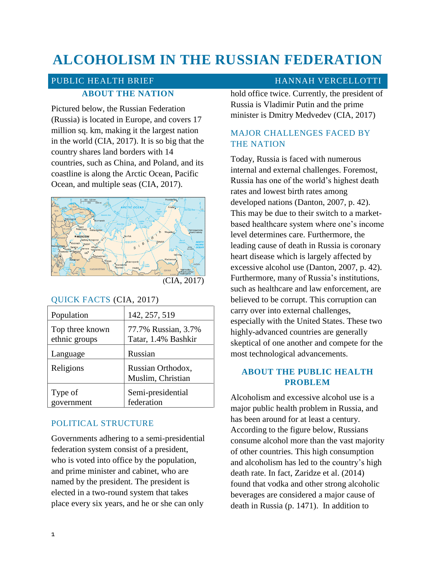# **ALCOHOLISM IN THE RUSSIAN FEDERATION**

## PUBLIC HEALTH BRIEF **HANNAH VERCELLOTTI ABOUT THE NATION**

Pictured below, the Russian Federation (Russia) is located in Europe, and covers 17 million sq. km, making it the largest nation in the world (CIA, 2017). It is so big that the country shares land borders with 14 countries, such as China, and Poland, and its coastline is along the Arctic Ocean, Pacific Ocean, and multiple seas (CIA, 2017).



(CIA, 2017)

### QUICK FACTS (CIA, 2017)

| Population                       | 142, 257, 519                              |
|----------------------------------|--------------------------------------------|
| Top three known<br>ethnic groups | 77.7% Russian, 3.7%<br>Tatar, 1.4% Bashkir |
| Language                         | Russian                                    |
| Religions                        | Russian Orthodox,<br>Muslim, Christian     |
| Type of<br>government            | Semi-presidential<br>federation            |

### POLITICAL STRUCTURE

Governments adhering to a semi-presidential federation system consist of a president, who is voted into office by the population, and prime minister and cabinet, who are named by the president. The president is elected in a two-round system that takes place every six years, and he or she can only

hold office twice. Currently, the president of Russia is Vladimir Putin and the prime minister is Dmitry Medvedev (CIA, 2017)

### MAJOR CHALLENGES FACED BY THE NATION

Today, Russia is faced with numerous internal and external challenges. Foremost, Russia has one of the world's highest death rates and lowest birth rates among developed nations (Danton, 2007, p. 42). This may be due to their switch to a marketbased healthcare system where one's income level determines care. Furthermore, the leading cause of death in Russia is coronary heart disease which is largely affected by excessive alcohol use (Danton, 2007, p. 42). Furthermore, many of Russia's institutions, such as healthcare and law enforcement, are believed to be corrupt. This corruption can carry over into external challenges, especially with the United States. These two highly-advanced countries are generally skeptical of one another and compete for the most technological advancements.

### **ABOUT THE PUBLIC HEALTH PROBLEM**

Alcoholism and excessive alcohol use is a major public health problem in Russia, and has been around for at least a century. According to the figure below, Russians consume alcohol more than the vast majority of other countries. This high consumption and alcoholism has led to the country's high death rate. In fact, Zaridze et al. (2014) found that vodka and other strong alcoholic beverages are considered a major cause of death in Russia (p. 1471). In addition to